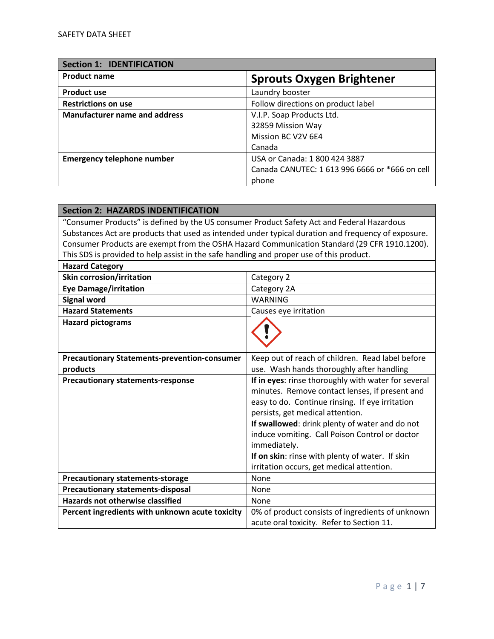| <b>Section 1: IDENTIFICATION</b>     |                                                |
|--------------------------------------|------------------------------------------------|
| <b>Product name</b>                  | <b>Sprouts Oxygen Brightener</b>               |
| <b>Product use</b>                   | Laundry booster                                |
| <b>Restrictions on use</b>           | Follow directions on product label             |
| <b>Manufacturer name and address</b> | V.I.P. Soap Products Ltd.                      |
|                                      | 32859 Mission Way                              |
|                                      | Mission BC V2V 6E4                             |
|                                      | Canada                                         |
| <b>Emergency telephone number</b>    | USA or Canada: 1 800 424 3887                  |
|                                      | Canada CANUTEC: 1 613 996 6666 or *666 on cell |
|                                      | phone                                          |

| <b>Section 2: HAZARDS INDENTIFICATION</b>                                                  |                                                                                                     |
|--------------------------------------------------------------------------------------------|-----------------------------------------------------------------------------------------------------|
| "Consumer Products" is defined by the US consumer Product Safety Act and Federal Hazardous |                                                                                                     |
|                                                                                            | Substances Act are products that used as intended under typical duration and frequency of exposure. |
|                                                                                            | Consumer Products are exempt from the OSHA Hazard Communication Standard (29 CFR 1910.1200).        |
| This SDS is provided to help assist in the safe handling and proper use of this product.   |                                                                                                     |
| <b>Hazard Category</b>                                                                     |                                                                                                     |
| <b>Skin corrosion/irritation</b>                                                           | Category 2                                                                                          |
| <b>Eye Damage/irritation</b>                                                               | Category 2A                                                                                         |
| <b>Signal word</b>                                                                         | <b>WARNING</b>                                                                                      |
| <b>Hazard Statements</b>                                                                   | Causes eye irritation                                                                               |
| <b>Hazard pictograms</b>                                                                   |                                                                                                     |
|                                                                                            |                                                                                                     |
|                                                                                            |                                                                                                     |
| <b>Precautionary Statements-prevention-consumer</b>                                        | Keep out of reach of children. Read label before                                                    |
| products                                                                                   | use. Wash hands thoroughly after handling                                                           |
| <b>Precautionary statements-response</b>                                                   | If in eyes: rinse thoroughly with water for several                                                 |
|                                                                                            | minutes. Remove contact lenses, if present and                                                      |
|                                                                                            | easy to do. Continue rinsing. If eye irritation                                                     |
|                                                                                            | persists, get medical attention.                                                                    |
|                                                                                            | If swallowed: drink plenty of water and do not                                                      |
|                                                                                            | induce vomiting. Call Poison Control or doctor                                                      |
|                                                                                            | immediately.                                                                                        |
|                                                                                            | If on skin: rinse with plenty of water. If skin                                                     |
|                                                                                            | irritation occurs, get medical attention.                                                           |
| <b>Precautionary statements-storage</b>                                                    | None                                                                                                |
| <b>Precautionary statements-disposal</b>                                                   | None                                                                                                |
| <b>Hazards not otherwise classified</b>                                                    | None                                                                                                |
| Percent ingredients with unknown acute toxicity                                            | 0% of product consists of ingredients of unknown                                                    |
|                                                                                            | acute oral toxicity. Refer to Section 11.                                                           |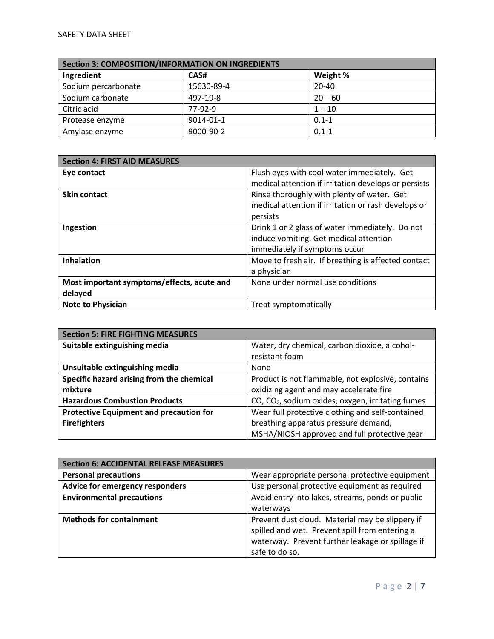| <b>Section 3: COMPOSITION/INFORMATION ON INGREDIENTS</b> |            |           |
|----------------------------------------------------------|------------|-----------|
| Ingredient                                               | CAS#       | Weight %  |
| Sodium percarbonate                                      | 15630-89-4 | $20 - 40$ |
| Sodium carbonate                                         | 497-19-8   | $20 - 60$ |
| Citric acid                                              | $77-92-9$  | $1 - 10$  |
| Protease enzyme                                          | 9014-01-1  | $0.1 - 1$ |
| Amylase enzyme                                           | 9000-90-2  | $0.1 - 1$ |

| <b>Section 4: FIRST AID MEASURES</b>       |                                                      |
|--------------------------------------------|------------------------------------------------------|
| Eye contact                                | Flush eyes with cool water immediately. Get          |
|                                            | medical attention if irritation develops or persists |
| <b>Skin contact</b>                        | Rinse thoroughly with plenty of water. Get           |
|                                            | medical attention if irritation or rash develops or  |
|                                            | persists                                             |
| Ingestion                                  | Drink 1 or 2 glass of water immediately. Do not      |
|                                            | induce vomiting. Get medical attention               |
|                                            | immediately if symptoms occur                        |
| <b>Inhalation</b>                          | Move to fresh air. If breathing is affected contact  |
|                                            | a physician                                          |
| Most important symptoms/effects, acute and | None under normal use conditions                     |
| delayed                                    |                                                      |
| <b>Note to Physician</b>                   | Treat symptomatically                                |

| <b>Section 5: FIRE FIGHTING MEASURES</b>       |                                                               |
|------------------------------------------------|---------------------------------------------------------------|
| Suitable extinguishing media                   | Water, dry chemical, carbon dioxide, alcohol-                 |
|                                                | resistant foam                                                |
| Unsuitable extinguishing media                 | None                                                          |
| Specific hazard arising from the chemical      | Product is not flammable, not explosive, contains             |
| mixture                                        | oxidizing agent and may accelerate fire                       |
| <b>Hazardous Combustion Products</b>           | CO, CO <sub>2</sub> , sodium oxides, oxygen, irritating fumes |
| <b>Protective Equipment and precaution for</b> | Wear full protective clothing and self-contained              |
| <b>Firefighters</b>                            | breathing apparatus pressure demand,                          |
|                                                | MSHA/NIOSH approved and full protective gear                  |

| <b>Section 6: ACCIDENTAL RELEASE MEASURES</b> |                                                  |
|-----------------------------------------------|--------------------------------------------------|
| <b>Personal precautions</b>                   | Wear appropriate personal protective equipment   |
| Advice for emergency responders               | Use personal protective equipment as required    |
| <b>Environmental precautions</b>              | Avoid entry into lakes, streams, ponds or public |
|                                               | waterways                                        |
| <b>Methods for containment</b>                | Prevent dust cloud. Material may be slippery if  |
|                                               | spilled and wet. Prevent spill from entering a   |
|                                               | waterway. Prevent further leakage or spillage if |
|                                               | safe to do so.                                   |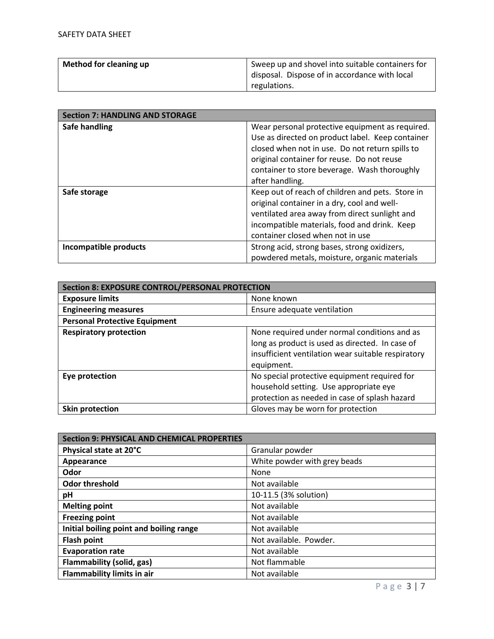| Method for cleaning up | Sweep up and shovel into suitable containers for |
|------------------------|--------------------------------------------------|
|                        | disposal. Dispose of in accordance with local    |
|                        | regulations.                                     |

| <b>Section 7: HANDLING AND STORAGE</b> |                                                                                                                                                                                                                                                                         |
|----------------------------------------|-------------------------------------------------------------------------------------------------------------------------------------------------------------------------------------------------------------------------------------------------------------------------|
| Safe handling                          | Wear personal protective equipment as required.<br>Use as directed on product label. Keep container<br>closed when not in use. Do not return spills to<br>original container for reuse. Do not reuse<br>container to store beverage. Wash thoroughly<br>after handling. |
| Safe storage                           | Keep out of reach of children and pets. Store in<br>original container in a dry, cool and well-<br>ventilated area away from direct sunlight and<br>incompatible materials, food and drink. Keep<br>container closed when not in use                                    |
| <b>Incompatible products</b>           | Strong acid, strong bases, strong oxidizers,<br>powdered metals, moisture, organic materials                                                                                                                                                                            |

| <b>Section 8: EXPOSURE CONTROL/PERSONAL PROTECTION</b> |                                                    |
|--------------------------------------------------------|----------------------------------------------------|
| <b>Exposure limits</b>                                 | None known                                         |
| <b>Engineering measures</b>                            | Ensure adequate ventilation                        |
| <b>Personal Protective Equipment</b>                   |                                                    |
| <b>Respiratory protection</b>                          | None required under normal conditions and as       |
|                                                        | long as product is used as directed. In case of    |
|                                                        | insufficient ventilation wear suitable respiratory |
|                                                        | equipment.                                         |
| Eye protection                                         | No special protective equipment required for       |
|                                                        | household setting. Use appropriate eye             |
|                                                        | protection as needed in case of splash hazard      |
| Skin protection                                        | Gloves may be worn for protection                  |

| <b>Section 9: PHYSICAL AND CHEMICAL PROPERTIES</b> |                              |
|----------------------------------------------------|------------------------------|
| Physical state at 20°C                             | Granular powder              |
| Appearance                                         | White powder with grey beads |
| Odor                                               | None                         |
| <b>Odor threshold</b>                              | Not available                |
| рH                                                 | 10-11.5 (3% solution)        |
| <b>Melting point</b>                               | Not available                |
| <b>Freezing point</b>                              | Not available                |
| Initial boiling point and boiling range            | Not available                |
| <b>Flash point</b>                                 | Not available. Powder.       |
| <b>Evaporation rate</b>                            | Not available                |
| <b>Flammability (solid, gas)</b>                   | Not flammable                |
| <b>Flammability limits in air</b>                  | Not available                |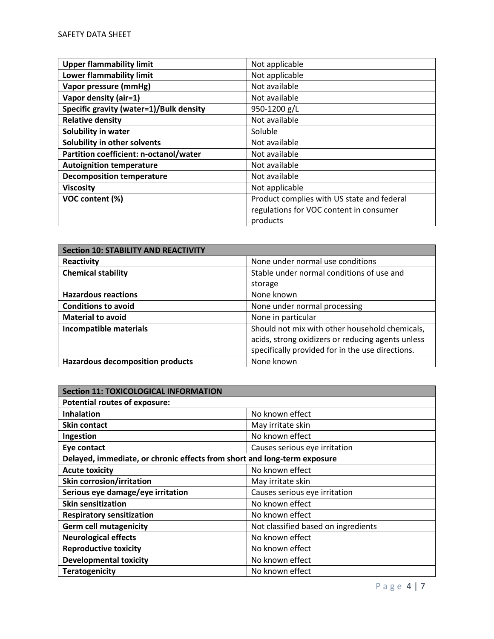| <b>Upper flammability limit</b>         | Not applicable                             |
|-----------------------------------------|--------------------------------------------|
| <b>Lower flammability limit</b>         | Not applicable                             |
| Vapor pressure (mmHg)                   | Not available                              |
| Vapor density (air=1)                   | Not available                              |
| Specific gravity (water=1)/Bulk density | 950-1200 g/L                               |
| <b>Relative density</b>                 | Not available                              |
| Solubility in water                     | Soluble                                    |
| Solubility in other solvents            | Not available                              |
| Partition coefficient: n-octanol/water  | Not available                              |
| <b>Autoignition temperature</b>         | Not available                              |
| <b>Decomposition temperature</b>        | Not available                              |
| <b>Viscosity</b>                        | Not applicable                             |
| VOC content (%)                         | Product complies with US state and federal |
|                                         | regulations for VOC content in consumer    |
|                                         | products                                   |

| <b>Section 10: STABILITY AND REACTIVITY</b> |                                                   |
|---------------------------------------------|---------------------------------------------------|
| Reactivity                                  | None under normal use conditions                  |
| <b>Chemical stability</b>                   | Stable under normal conditions of use and         |
|                                             | storage                                           |
| <b>Hazardous reactions</b>                  | None known                                        |
| <b>Conditions to avoid</b>                  | None under normal processing                      |
| <b>Material to avoid</b>                    | None in particular                                |
| <b>Incompatible materials</b>               | Should not mix with other household chemicals,    |
|                                             | acids, strong oxidizers or reducing agents unless |
|                                             | specifically provided for in the use directions.  |
| <b>Hazardous decomposition products</b>     | None known                                        |

| <b>Section 11: TOXICOLOGICAL INFORMATION</b>                             |                                     |  |
|--------------------------------------------------------------------------|-------------------------------------|--|
| <b>Potential routes of exposure:</b>                                     |                                     |  |
| <b>Inhalation</b>                                                        | No known effect                     |  |
| <b>Skin contact</b>                                                      | May irritate skin                   |  |
| Ingestion                                                                | No known effect                     |  |
| Eye contact                                                              | Causes serious eye irritation       |  |
| Delayed, immediate, or chronic effects from short and long-term exposure |                                     |  |
| <b>Acute toxicity</b>                                                    | No known effect                     |  |
| <b>Skin corrosion/irritation</b>                                         | May irritate skin                   |  |
| Serious eye damage/eye irritation                                        | Causes serious eye irritation       |  |
| <b>Skin sensitization</b>                                                | No known effect                     |  |
| <b>Respiratory sensitization</b>                                         | No known effect                     |  |
| <b>Germ cell mutagenicity</b>                                            | Not classified based on ingredients |  |
| <b>Neurological effects</b>                                              | No known effect                     |  |
| <b>Reproductive toxicity</b>                                             | No known effect                     |  |
| <b>Developmental toxicity</b>                                            | No known effect                     |  |
| <b>Teratogenicity</b>                                                    | No known effect                     |  |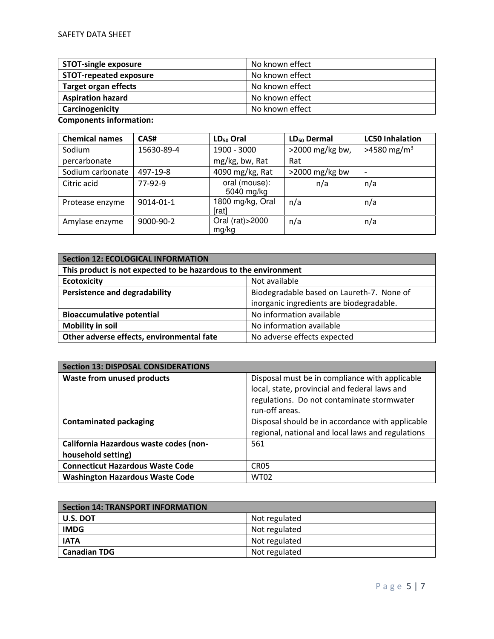| <b>STOT-single exposure</b>   | No known effect |
|-------------------------------|-----------------|
| <b>STOT-repeated exposure</b> | No known effect |
| <b>Target organ effects</b>   | No known effect |
| <b>Aspiration hazard</b>      | No known effect |
| Carcinogenicity               | No known effect |

**Components information:** 

| <b>Chemical names</b> | CAS#       | $LD_{50}$ Oral              | $LD_{50}$ Dermal  | <b>LC50 Inhalation</b>    |
|-----------------------|------------|-----------------------------|-------------------|---------------------------|
| Sodium                | 15630-89-4 | 1900 - 3000                 | >2000 mg/kg bw,   | $>4580$ mg/m <sup>3</sup> |
| percarbonate          |            | mg/kg, bw, Rat              | Rat               |                           |
| Sodium carbonate      | 497-19-8   | 4090 mg/kg, Rat             | $>$ 2000 mg/kg bw | $\overline{\phantom{0}}$  |
| Citric acid           | $77-92-9$  | oral (mouse):<br>5040 mg/kg | n/a               | n/a                       |
| Protease enzyme       | 9014-01-1  | 1800 mg/kg, Oral<br>[rat]   | n/a               | n/a                       |
| Amylase enzyme        | 9000-90-2  | Oral (rat) > 2000<br>mg/kg  | n/a               | n/a                       |

| <b>Section 12: ECOLOGICAL INFORMATION</b>                                |                                           |  |
|--------------------------------------------------------------------------|-------------------------------------------|--|
| This product is not expected to be hazardous to the environment          |                                           |  |
| <b>Ecotoxicity</b>                                                       | Not available                             |  |
| <b>Persistence and degradability</b>                                     | Biodegradable based on Laureth-7. None of |  |
|                                                                          | inorganic ingredients are biodegradable.  |  |
| <b>Bioaccumulative potential</b>                                         | No information available                  |  |
| <b>Mobility in soil</b>                                                  | No information available                  |  |
| Other adverse effects, environmental fate<br>No adverse effects expected |                                           |  |

| <b>Section 13: DISPOSAL CONSIDERATIONS</b> |                                                   |
|--------------------------------------------|---------------------------------------------------|
| <b>Waste from unused products</b>          | Disposal must be in compliance with applicable    |
|                                            | local, state, provincial and federal laws and     |
|                                            | regulations. Do not contaminate stormwater        |
|                                            | run-off areas.                                    |
| <b>Contaminated packaging</b>              | Disposal should be in accordance with applicable  |
|                                            | regional, national and local laws and regulations |
| California Hazardous waste codes (non-     | 561                                               |
| household setting)                         |                                                   |
| <b>Connecticut Hazardous Waste Code</b>    | CR <sub>05</sub>                                  |
| <b>Washington Hazardous Waste Code</b>     | <b>WT02</b>                                       |

| <b>Section 14: TRANSPORT INFORMATION</b> |               |
|------------------------------------------|---------------|
| l U.S. DOT                               | Not regulated |
| <b>IMDG</b>                              | Not regulated |
| <b>IATA</b>                              | Not regulated |
| <b>Canadian TDG</b>                      | Not regulated |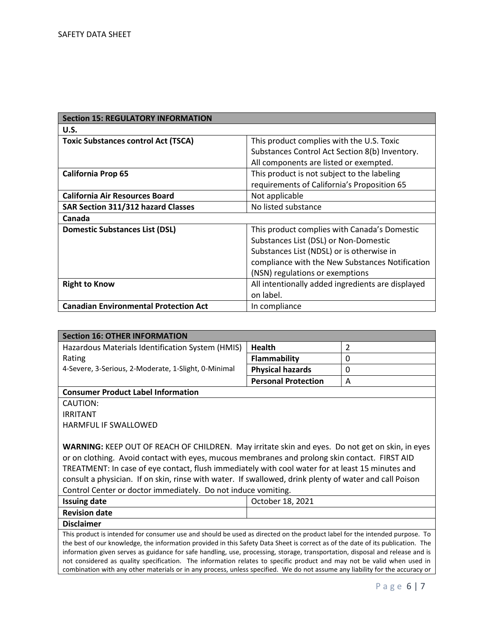| <b>Section 15: REGULATORY INFORMATION</b>    |                                                   |
|----------------------------------------------|---------------------------------------------------|
| U.S.                                         |                                                   |
| <b>Toxic Substances control Act (TSCA)</b>   | This product complies with the U.S. Toxic         |
|                                              | Substances Control Act Section 8(b) Inventory.    |
|                                              | All components are listed or exempted.            |
| <b>California Prop 65</b>                    | This product is not subject to the labeling       |
|                                              | requirements of California's Proposition 65       |
| <b>California Air Resources Board</b>        | Not applicable                                    |
| <b>SAR Section 311/312 hazard Classes</b>    | No listed substance                               |
| Canada                                       |                                                   |
| <b>Domestic Substances List (DSL)</b>        | This product complies with Canada's Domestic      |
|                                              | Substances List (DSL) or Non-Domestic             |
|                                              | Substances List (NDSL) or is otherwise in         |
|                                              | compliance with the New Substances Notification   |
|                                              | (NSN) regulations or exemptions                   |
| <b>Right to Know</b>                         | All intentionally added ingredients are displayed |
|                                              | on label.                                         |
| <b>Canadian Environmental Protection Act</b> | In compliance                                     |

| <b>Section 16: OTHER INFORMATION</b>                                                                                                                                                                                                                                                                                                                            |                            |   |
|-----------------------------------------------------------------------------------------------------------------------------------------------------------------------------------------------------------------------------------------------------------------------------------------------------------------------------------------------------------------|----------------------------|---|
| Hazardous Materials Identification System (HMIS)                                                                                                                                                                                                                                                                                                                | <b>Health</b>              | 2 |
| Rating                                                                                                                                                                                                                                                                                                                                                          | <b>Flammability</b>        | 0 |
| 4-Severe, 3-Serious, 2-Moderate, 1-Slight, 0-Minimal                                                                                                                                                                                                                                                                                                            | <b>Physical hazards</b>    | 0 |
|                                                                                                                                                                                                                                                                                                                                                                 | <b>Personal Protection</b> | A |
| <b>Consumer Product Label Information</b>                                                                                                                                                                                                                                                                                                                       |                            |   |
| CAUTION:                                                                                                                                                                                                                                                                                                                                                        |                            |   |
| <b>IRRITANT</b>                                                                                                                                                                                                                                                                                                                                                 |                            |   |
| HARMFUL IF SWALLOWED                                                                                                                                                                                                                                                                                                                                            |                            |   |
|                                                                                                                                                                                                                                                                                                                                                                 |                            |   |
| WARNING: KEEP OUT OF REACH OF CHILDREN. May irritate skin and eyes. Do not get on skin, in eyes                                                                                                                                                                                                                                                                 |                            |   |
| or on clothing. Avoid contact with eyes, mucous membranes and prolong skin contact. FIRST AID                                                                                                                                                                                                                                                                   |                            |   |
| TREATMENT: In case of eye contact, flush immediately with cool water for at least 15 minutes and                                                                                                                                                                                                                                                                |                            |   |
| consult a physician. If on skin, rinse with water. If swallowed, drink plenty of water and call Poison                                                                                                                                                                                                                                                          |                            |   |
| Control Center or doctor immediately. Do not induce vomiting.                                                                                                                                                                                                                                                                                                   |                            |   |
| <b>Issuing date</b>                                                                                                                                                                                                                                                                                                                                             | October 18, 2021           |   |
| <b>Revision date</b>                                                                                                                                                                                                                                                                                                                                            |                            |   |
| <b>Disclaimer</b>                                                                                                                                                                                                                                                                                                                                               |                            |   |
| This product is intended for consumer use and should be used as directed on the product label for the intended purpose. To                                                                                                                                                                                                                                      |                            |   |
| the best of our knowledge, the information provided in this Safety Data Sheet is correct as of the date of its publication. The                                                                                                                                                                                                                                 |                            |   |
| information given serves as guidance for safe handling, use, processing, storage, transportation, disposal and release and is<br>the contribution of the contract control of the contraction of the control of the contraction of the control of the contraction of the control of the control of the control of the control of the control of the control of t |                            |   |

not considered as quality specification. The information relates to specific product and may not be valid when used in combination with any other materials or in any process, unless specified. We do not assume any liability for the accuracy or